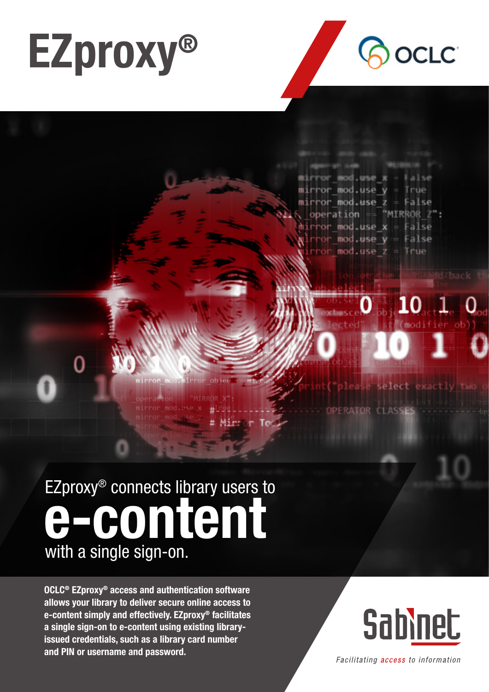



or mod.use x  $mirror$  mod.use  $y = True$ or mod.use z = False  $=$  "MIRROR  $Z$ ": peration  $mod_$ **use**  $x =$ False  $mod.$ use  $v =$ False mod.use z True

### EZproxy® connects library users to with a single sign-on. e-content

OCLC® EZproxy® access and authentication software allows your library to deliver secure online access to e-content simply and effectively. EZproxy® facilitates a single sign-on to e-content using existing libraryissued credentials, such as a library card number and PIN or username and password.

# **Sabinet**

select exactly

Facilitating access to information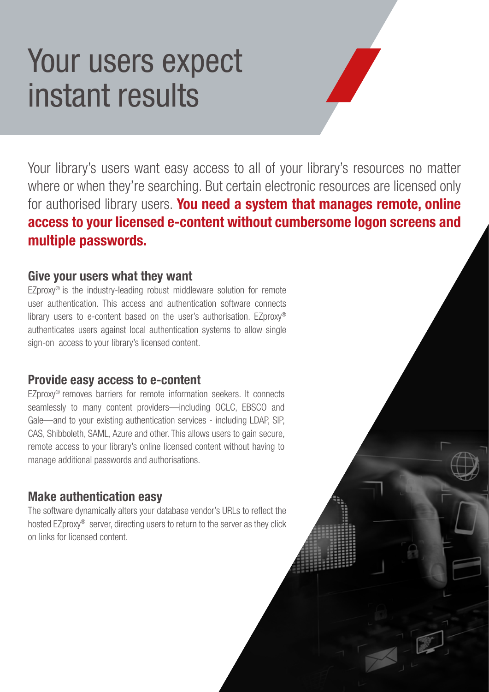## Your users expect instant results

Your library's users want easy access to all of your library's resources no matter where or when they're searching. But certain electronic resources are licensed only for authorised library users. You need a system that manages remote, online access to your licensed e-content without cumbersome logon screens and multiple passwords.

### Give your users what they want

EZproxy® is the industry-leading robust middleware solution for remote user authentication. This access and authentication software connects library users to e-content based on the user's authorisation. EZproxy® authenticates users against local authentication systems to allow single sign-on access to your library's licensed content.

### Provide easy access to e-content

EZproxy® removes barriers for remote information seekers. It connects seamlessly to many content providers—including OCLC, EBSCO and Gale—and to your existing authentication services - including LDAP, SIP, CAS, Shibboleth, SAML, Azure and other. This allows users to gain secure, remote access to your library's online licensed content without having to manage additional passwords and authorisations.

### Make authentication easy

The software dynamically alters your database vendor's URLs to reflect the hosted EZproxy® server, directing users to return to the server as they click on links for licensed content.